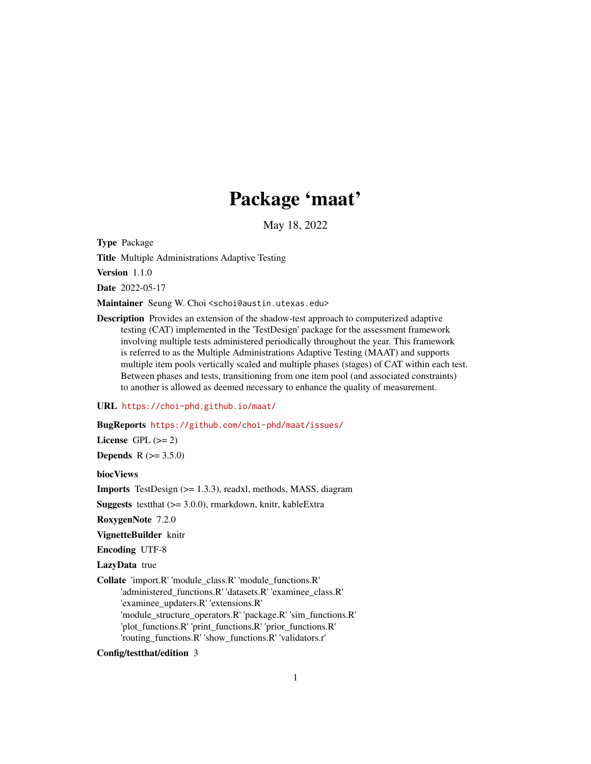# Package 'maat'

May 18, 2022

<span id="page-0-0"></span>Type Package

Title Multiple Administrations Adaptive Testing

Version 1.1.0

Date 2022-05-17

Maintainer Seung W. Choi <schoi@austin.utexas.edu>

Description Provides an extension of the shadow-test approach to computerized adaptive testing (CAT) implemented in the 'TestDesign' package for the assessment framework involving multiple tests administered periodically throughout the year. This framework is referred to as the Multiple Administrations Adaptive Testing (MAAT) and supports multiple item pools vertically scaled and multiple phases (stages) of CAT within each test. Between phases and tests, transitioning from one item pool (and associated constraints) to another is allowed as deemed necessary to enhance the quality of measurement.

#### URL <https://choi-phd.github.io/maat/>

BugReports <https://github.com/choi-phd/maat/issues/>

License GPL  $(>= 2)$ 

**Depends**  $R (= 3.5.0)$ 

biocViews

Imports TestDesign (>= 1.3.3), readxl, methods, MASS, diagram

Suggests testthat (>= 3.0.0), rmarkdown, knitr, kableExtra

RoxygenNote 7.2.0

VignetteBuilder knitr

Encoding UTF-8

LazyData true

Collate 'import.R' 'module\_class.R' 'module\_functions.R' 'administered\_functions.R' 'datasets.R' 'examinee\_class.R'

'examinee\_updaters.R' 'extensions.R'

'module\_structure\_operators.R' 'package.R' 'sim\_functions.R' 'plot\_functions.R' 'print\_functions.R' 'prior\_functions.R'

'routing\_functions.R' 'show\_functions.R' 'validators.r'

Config/testthat/edition 3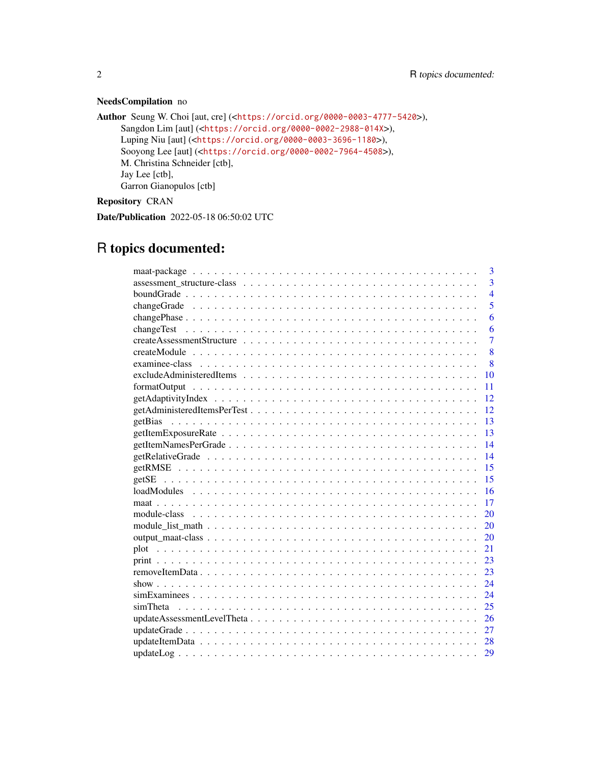#### NeedsCompilation no

```
Author Seung W. Choi [aut, cre] (<https://orcid.org/0000-0003-4777-5420>),
     Sangdon Lim [aut] (<https://orcid.org/0000-0002-2988-014X>),
     Luping Niu [aut] (<https://orcid.org/0000-0003-3696-1180>),
     Sooyong Lee [aut] (<https://orcid.org/0000-0002-7964-4508>),
     M. Christina Schneider [ctb],
     Jay Lee [ctb],
     Garron Gianopulos [ctb]
```
Repository CRAN

Date/Publication 2022-05-18 06:50:02 UTC

## R topics documented:

| 3                                                                                                                       |
|-------------------------------------------------------------------------------------------------------------------------|
| $\overline{3}$                                                                                                          |
| $\overline{4}$                                                                                                          |
| 5                                                                                                                       |
| 6                                                                                                                       |
| 6                                                                                                                       |
| $\overline{7}$                                                                                                          |
| 8                                                                                                                       |
| 8                                                                                                                       |
| 10                                                                                                                      |
| 11                                                                                                                      |
| 12                                                                                                                      |
| 12                                                                                                                      |
| 13                                                                                                                      |
| 13                                                                                                                      |
| 14                                                                                                                      |
| 14                                                                                                                      |
| 15                                                                                                                      |
| 15                                                                                                                      |
| 16                                                                                                                      |
| 17                                                                                                                      |
| 20                                                                                                                      |
| 20                                                                                                                      |
| 20                                                                                                                      |
| 21                                                                                                                      |
| 23                                                                                                                      |
| 23                                                                                                                      |
| 24                                                                                                                      |
| 24                                                                                                                      |
| 25<br>simTheta                                                                                                          |
| 26                                                                                                                      |
| 27                                                                                                                      |
|                                                                                                                         |
| $updateLog \dots \dots \dots \dots \dots \dots \dots \dots \dots \dots \dots \dots \dots \dots \dots \dots \dots$<br>29 |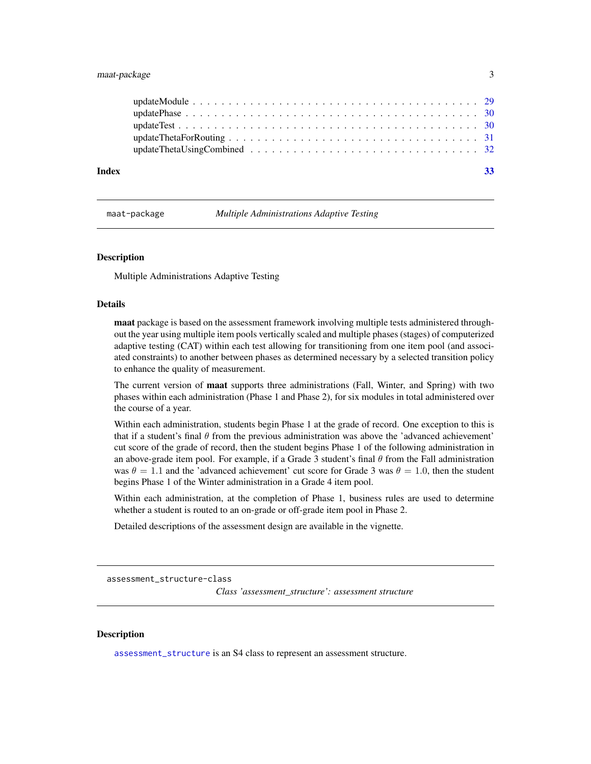#### <span id="page-2-0"></span>maat-package 3

| Index |  |  |  |  |  |  |  |  |  |  |  |  |  |  |  |
|-------|--|--|--|--|--|--|--|--|--|--|--|--|--|--|--|
|       |  |  |  |  |  |  |  |  |  |  |  |  |  |  |  |

maat-package *Multiple Administrations Adaptive Testing*

#### **Description**

Multiple Administrations Adaptive Testing

#### Details

maat package is based on the assessment framework involving multiple tests administered throughout the year using multiple item pools vertically scaled and multiple phases (stages) of computerized adaptive testing (CAT) within each test allowing for transitioning from one item pool (and associated constraints) to another between phases as determined necessary by a selected transition policy to enhance the quality of measurement.

The current version of **maat** supports three administrations (Fall, Winter, and Spring) with two phases within each administration (Phase 1 and Phase 2), for six modules in total administered over the course of a year.

Within each administration, students begin Phase 1 at the grade of record. One exception to this is that if a student's final  $\theta$  from the previous administration was above the 'advanced achievement' cut score of the grade of record, then the student begins Phase 1 of the following administration in an above-grade item pool. For example, if a Grade 3 student's final  $\theta$  from the Fall administration was  $\theta = 1.1$  and the 'advanced achievement' cut score for Grade 3 was  $\theta = 1.0$ , then the student begins Phase 1 of the Winter administration in a Grade 4 item pool.

Within each administration, at the completion of Phase 1, business rules are used to determine whether a student is routed to an on-grade or off-grade item pool in Phase 2.

Detailed descriptions of the assessment design are available in the vignette.

<span id="page-2-1"></span>assessment\_structure-class

*Class 'assessment\_structure': assessment structure*

#### **Description**

[assessment\\_structure](#page-2-1) is an S4 class to represent an assessment structure.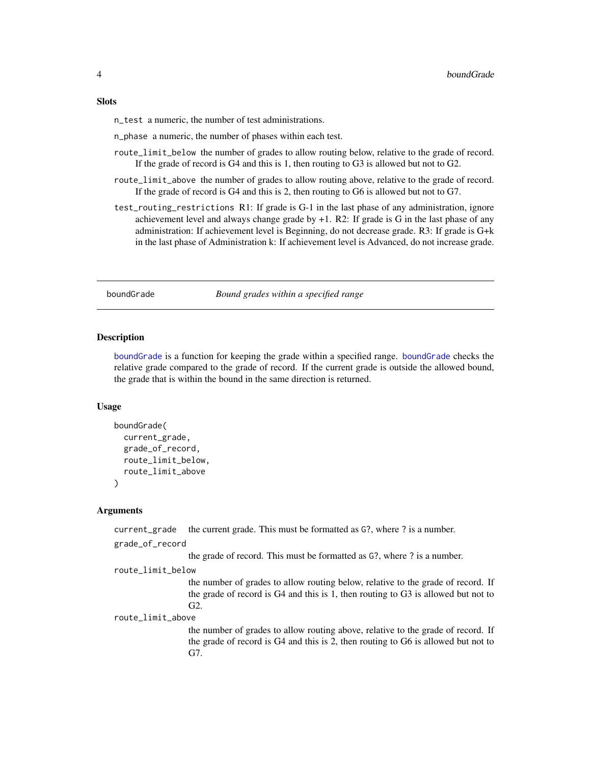#### <span id="page-3-0"></span>**Slots**

n\_test a numeric, the number of test administrations.

n\_phase a numeric, the number of phases within each test.

- route\_limit\_below the number of grades to allow routing below, relative to the grade of record. If the grade of record is G4 and this is 1, then routing to G3 is allowed but not to G2.
- route\_limit\_above the number of grades to allow routing above, relative to the grade of record. If the grade of record is G4 and this is 2, then routing to G6 is allowed but not to G7.
- test\_routing\_restrictions R1: If grade is G-1 in the last phase of any administration, ignore achievement level and always change grade by  $+1$ . R2: If grade is G in the last phase of any administration: If achievement level is Beginning, do not decrease grade. R3: If grade is G+k in the last phase of Administration k: If achievement level is Advanced, do not increase grade.

#### <span id="page-3-1"></span>boundGrade *Bound grades within a specified range*

#### Description

[boundGrade](#page-3-1) is a function for keeping the grade within a specified range. [boundGrade](#page-3-1) checks the relative grade compared to the grade of record. If the current grade is outside the allowed bound, the grade that is within the bound in the same direction is returned.

#### Usage

```
boundGrade(
  current_grade,
  grade_of_record,
  route_limit_below,
  route_limit_above
)
```
#### Arguments

current\_grade the current grade. This must be formatted as G?, where ? is a number.

```
grade_of_record
```
the grade of record. This must be formatted as G?, where ? is a number.

```
route_limit_below
```
the number of grades to allow routing below, relative to the grade of record. If the grade of record is G4 and this is 1, then routing to G3 is allowed but not to G2.

route\_limit\_above

the number of grades to allow routing above, relative to the grade of record. If the grade of record is G4 and this is 2, then routing to G6 is allowed but not to G7.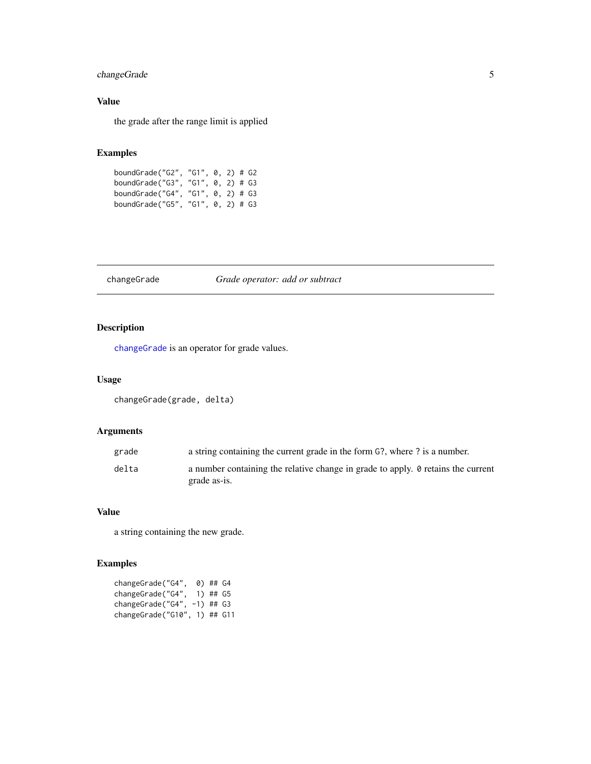#### <span id="page-4-0"></span>changeGrade 5

#### Value

the grade after the range limit is applied

#### Examples

| boundGrade("G2", "G1", 0, 2) # G2 |  |  |  |
|-----------------------------------|--|--|--|
| boundGrade("G3", "G1", 0, 2) # G3 |  |  |  |
| boundGrade("G4", "G1", 0, 2) # G3 |  |  |  |
| boundGrade("G5", "G1", 0, 2) # G3 |  |  |  |

#### <span id="page-4-1"></span>changeGrade *Grade operator: add or subtract*

### Description

[changeGrade](#page-4-1) is an operator for grade values.

#### Usage

changeGrade(grade, delta)

#### Arguments

| grade | a string containing the current grade in the form G?, where ? is a number.                              |
|-------|---------------------------------------------------------------------------------------------------------|
| delta | a number containing the relative change in grade to apply. $\theta$ retains the current<br>grade as-is. |

#### Value

a string containing the new grade.

#### Examples

| changeGrade("G4",  | 0) ## G4     |           |
|--------------------|--------------|-----------|
| changeGrade("G4",  | 1) ## G5     |           |
| changeGrade("G4",  | $-1$ ) ## G3 |           |
| changeGrade("G10", |              | 1) ## G11 |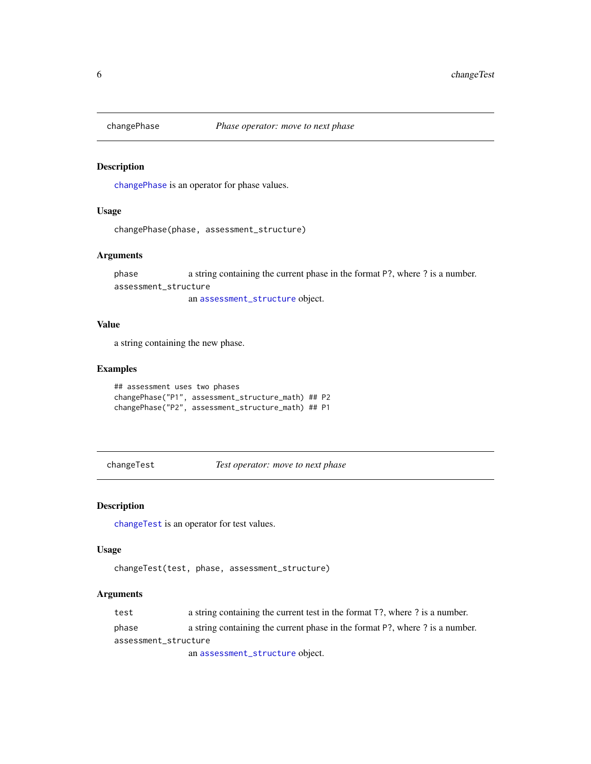<span id="page-5-1"></span><span id="page-5-0"></span>

[changePhase](#page-5-1) is an operator for phase values.

#### Usage

```
changePhase(phase, assessment_structure)
```
#### Arguments

phase a string containing the current phase in the format P?, where ? is a number. assessment\_structure

an [assessment\\_structure](#page-2-1) object.

#### Value

a string containing the new phase.

#### Examples

```
## assessment uses two phases
changePhase("P1", assessment_structure_math) ## P2
changePhase("P2", assessment_structure_math) ## P1
```
<span id="page-5-2"></span>changeTest *Test operator: move to next phase*

#### Description

[changeTest](#page-5-2) is an operator for test values.

#### Usage

```
changeTest(test, phase, assessment_structure)
```
#### Arguments

test a string containing the current test in the format T?, where ? is a number.

phase a string containing the current phase in the format P?, where ? is a number.

assessment\_structure

an [assessment\\_structure](#page-2-1) object.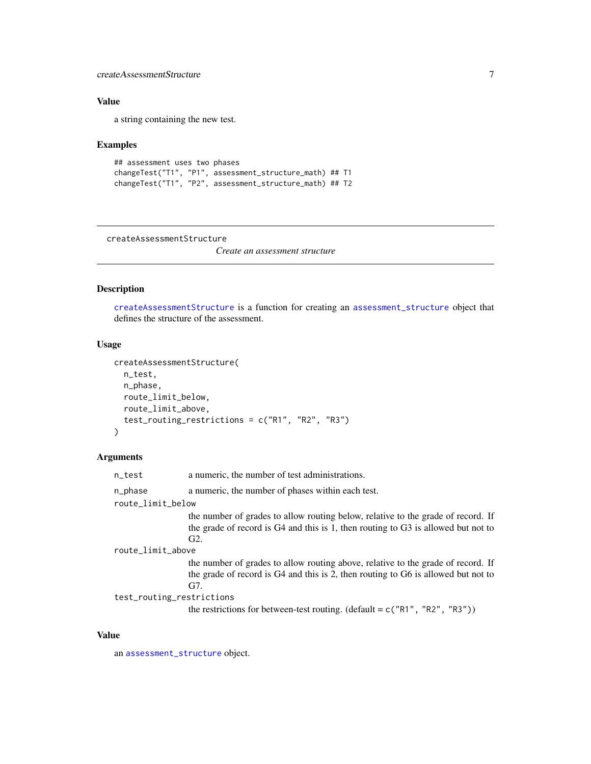#### <span id="page-6-0"></span>createAssessmentStructure 7

#### Value

a string containing the new test.

#### Examples

```
## assessment uses two phases
changeTest("T1", "P1", assessment_structure_math) ## T1
changeTest("T1", "P2", assessment_structure_math) ## T2
```
<span id="page-6-1"></span>createAssessmentStructure

*Create an assessment structure*

#### Description

[createAssessmentStructure](#page-6-1) is a function for creating an [assessment\\_structure](#page-2-1) object that defines the structure of the assessment.

#### Usage

```
createAssessmentStructure(
  n_test,
  n_phase,
  route_limit_below,
  route_limit_above,
  test_routing_restrictions = c("R1", "R2", "R3")
)
```
#### Arguments

| n_test                    | a numeric, the number of test administrations.                                                                                                                               |
|---------------------------|------------------------------------------------------------------------------------------------------------------------------------------------------------------------------|
| n_phase                   | a numeric, the number of phases within each test.                                                                                                                            |
| route_limit_below         |                                                                                                                                                                              |
|                           | the number of grades to allow routing below, relative to the grade of record. If<br>the grade of record is G4 and this is 1, then routing to G3 is allowed but not to<br>G2. |
| route_limit_above         |                                                                                                                                                                              |
|                           | the number of grades to allow routing above, relative to the grade of record. If<br>the grade of record is G4 and this is 2, then routing to G6 is allowed but not to<br>G7. |
| test_routing_restrictions |                                                                                                                                                                              |
|                           | the restrictions for between-test routing. (default = $c("R1", "R2", "R3"))$ )                                                                                               |

#### Value

an [assessment\\_structure](#page-2-1) object.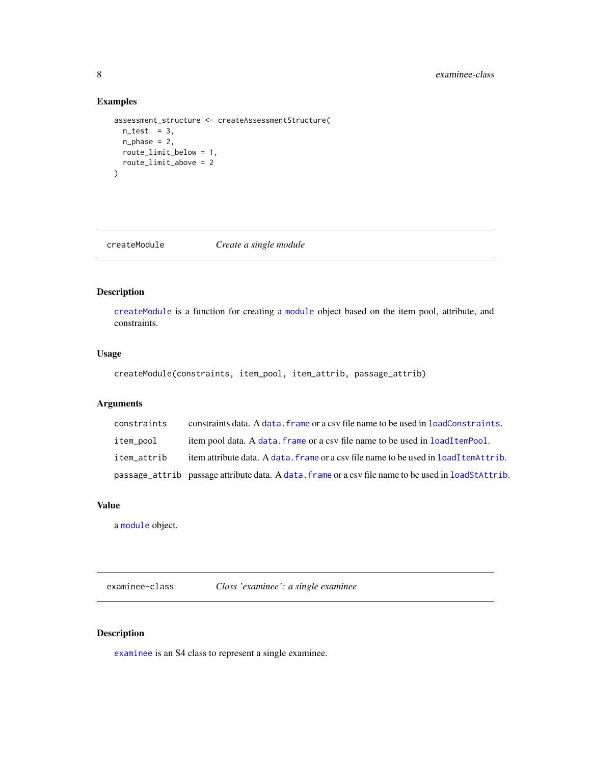#### Examples

```
assessment_structure <- createAssessmentStructure(
  n_{\text{test}} = 3,
  n_{phase} = 2,
  route_limit_below = 1,
  route_limit_above = 2
)
```
<span id="page-7-1"></span>createModule *Create a single module*

#### Description

[createModule](#page-7-1) is a function for creating a [module](#page-19-1) object based on the item pool, attribute, and constraints.

#### Usage

```
createModule(constraints, item_pool, item_attrib, passage_attrib)
```
#### Arguments

| constraints | constraints data. A data, frame or a csy file name to be used in loadConstraints.                    |
|-------------|------------------------------------------------------------------------------------------------------|
| item_pool   | item pool data. A data, frame or a csy file name to be used in loadItemPool.                         |
| item attrib | item attribute data. A data, frame or a csy file name to be used in loadItemAttrib.                  |
|             | passage_attrib passage attribute data. A data, frame or a csy file name to be used in load Stattrib. |

#### Value

a [module](#page-19-1) object.

<span id="page-7-2"></span>examinee-class *Class 'examinee': a single examinee*

#### Description

[examinee](#page-7-2) is an S4 class to represent a single examinee.

<span id="page-7-0"></span>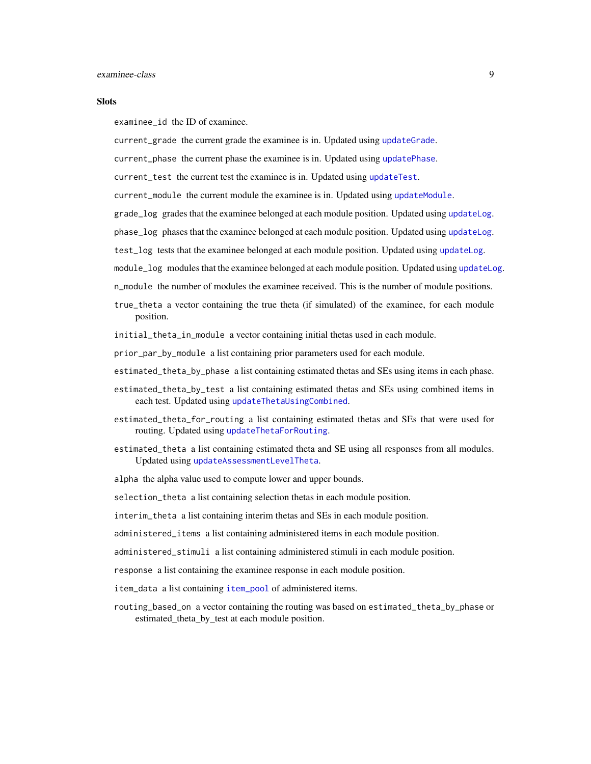#### <span id="page-8-0"></span>**Slots**

examinee\_id the ID of examinee.

current\_grade the current grade the examinee is in. Updated using [updateGrade](#page-26-1).

current\_phase the current phase the examinee is in. Updated using [updatePhase](#page-29-1).

current\_test the current test the examinee is in. Updated using [updateTest](#page-29-2).

- current\_module the current module the examinee is in. Updated using [updateModule](#page-28-1).
- grade\_log grades that the examinee belonged at each module position. Updated using [updateLog](#page-28-2).
- phase\_log phases that the examinee belonged at each module position. Updated using [updateLog](#page-28-2).
- test\_log tests that the examinee belonged at each module position. Updated using [updateLog](#page-28-2).
- module\_log modules that the examinee belonged at each module position. Updated using [updateLog](#page-28-2).
- n\_module the number of modules the examinee received. This is the number of module positions.
- true\_theta a vector containing the true theta (if simulated) of the examinee, for each module position.
- initial\_theta\_in\_module a vector containing initial thetas used in each module.
- prior\_par\_by\_module a list containing prior parameters used for each module.
- estimated\_theta\_by\_phase a list containing estimated thetas and SEs using items in each phase.
- estimated\_theta\_by\_test a list containing estimated thetas and SEs using combined items in each test. Updated using [updateThetaUsingCombined](#page-31-1).
- estimated\_theta\_for\_routing a list containing estimated thetas and SEs that were used for routing. Updated using [updateThetaForRouting](#page-30-1).
- estimated\_theta a list containing estimated theta and SE using all responses from all modules. Updated using [updateAssessmentLevelTheta](#page-25-1).

alpha the alpha value used to compute lower and upper bounds.

selection\_theta a list containing selection thetas in each module position.

- interim\_theta a list containing interim thetas and SEs in each module position.
- administered\_items a list containing administered items in each module position.
- administered\_stimuli a list containing administered stimuli in each module position.
- response a list containing the examinee response in each module position.
- item\_data a list containing [item\\_pool](#page-0-0) of administered items.
- routing\_based\_on a vector containing the routing was based on estimated\_theta\_by\_phase or estimated\_theta\_by\_test at each module position.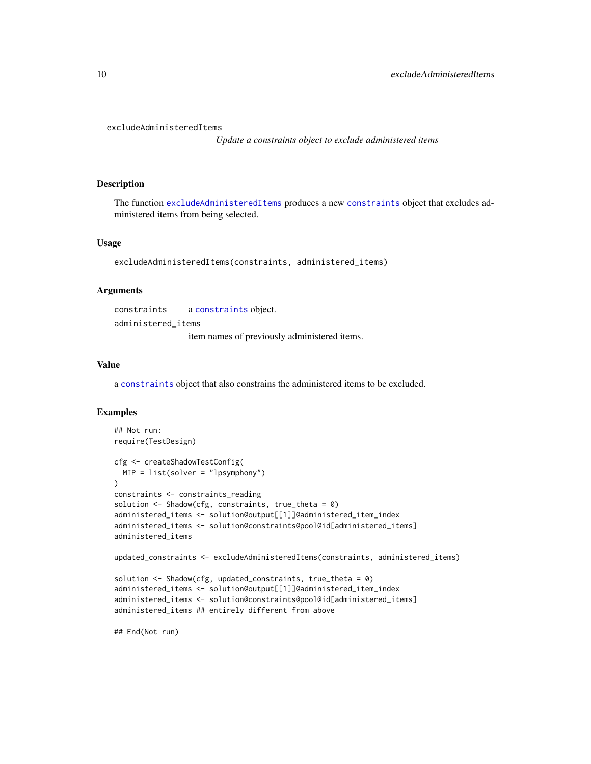```
excludeAdministeredItems
```
*Update a constraints object to exclude administered items*

#### Description

The function [excludeAdministeredItems](#page-9-1) produces a new [constraints](#page-0-0) object that excludes administered items from being selected.

#### Usage

```
excludeAdministeredItems(constraints, administered_items)
```
#### Arguments

constraints a [constraints](#page-0-0) object. administered\_items

item names of previously administered items.

#### Value

a [constraints](#page-0-0) object that also constrains the administered items to be excluded.

#### Examples

```
## Not run:
require(TestDesign)
cfg <- createShadowTestConfig(
 MIP = list(solver = "lpsymphony")
)
constraints <- constraints_reading
solution <- Shadow(cfg, constraints, true_theta = 0)
administered_items <- solution@output[[1]]@administered_item_index
administered_items <- solution@constraints@pool@id[administered_items]
administered_items
updated_constraints <- excludeAdministeredItems(constraints, administered_items)
solution \leq Shadow(cfg, updated_constraints, true_theta = 0)
administered_items <- solution@output[[1]]@administered_item_index
administered_items <- solution@constraints@pool@id[administered_items]
administered_items ## entirely different from above
## End(Not run)
```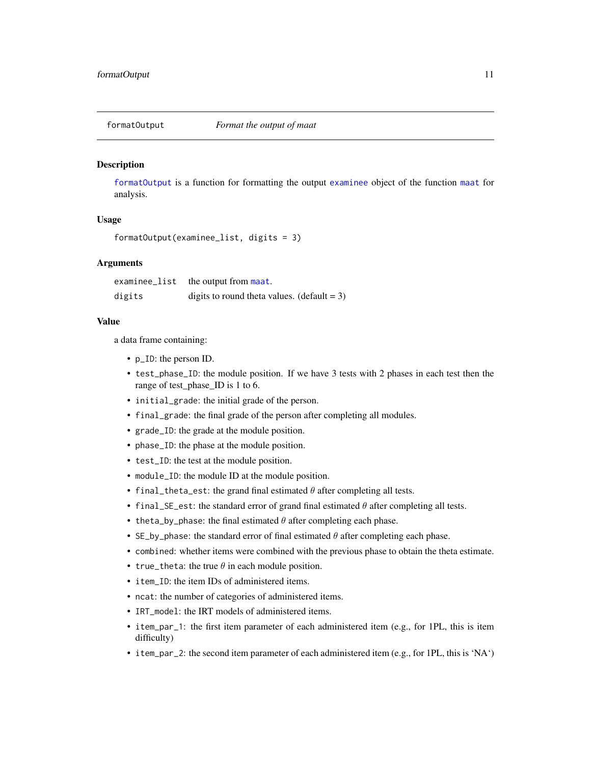<span id="page-10-1"></span><span id="page-10-0"></span>

[formatOutput](#page-10-1) is a function for formatting the output [examinee](#page-7-2) object of the function [maat](#page-16-1) for analysis.

#### Usage

```
formatOutput(examinee_list, digits = 3)
```
#### **Arguments**

| examinee_list | the output from maat.                          |
|---------------|------------------------------------------------|
| digits        | digits to round theta values. (default = $3$ ) |

#### Value

a data frame containing:

- p\_ID: the person ID.
- test\_phase\_ID: the module position. If we have 3 tests with 2 phases in each test then the range of test\_phase\_ID is 1 to 6.
- initial\_grade: the initial grade of the person.
- final\_grade: the final grade of the person after completing all modules.
- grade\_ID: the grade at the module position.
- phase\_ID: the phase at the module position.
- test\_ID: the test at the module position.
- module\_ID: the module ID at the module position.
- final\_theta\_est: the grand final estimated  $\theta$  after completing all tests.
- final\_SE\_est: the standard error of grand final estimated  $\theta$  after completing all tests.
- theta\_by\_phase: the final estimated  $\theta$  after completing each phase.
- SE\_by\_phase: the standard error of final estimated  $\theta$  after completing each phase.
- combined: whether items were combined with the previous phase to obtain the theta estimate.
- true\_theta: the true  $\theta$  in each module position.
- item\_ID: the item IDs of administered items.
- ncat: the number of categories of administered items.
- IRT\_model: the IRT models of administered items.
- item\_par\_1: the first item parameter of each administered item (e.g., for 1PL, this is item difficulty)
- item\_par\_2: the second item parameter of each administered item (e.g., for 1PL, this is 'NA')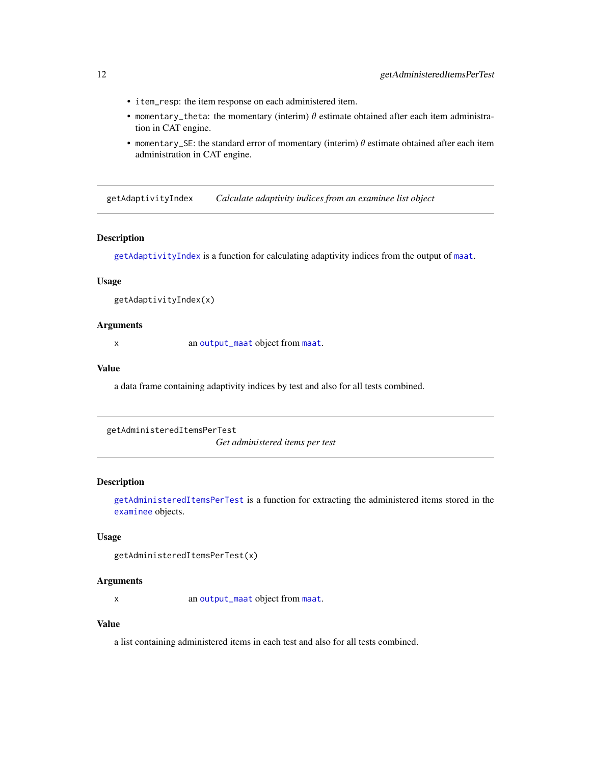- <span id="page-11-0"></span>• item\_resp: the item response on each administered item.
- momentary\_theta: the momentary (interim)  $\theta$  estimate obtained after each item administration in CAT engine.
- momentary\_SE: the standard error of momentary (interim)  $\theta$  estimate obtained after each item administration in CAT engine.

<span id="page-11-1"></span>getAdaptivityIndex *Calculate adaptivity indices from an examinee list object*

#### Description

[getAdaptivityIndex](#page-11-1) is a function for calculating adaptivity indices from the output of [maat](#page-16-1).

#### Usage

```
getAdaptivityIndex(x)
```
#### **Arguments**

x an [output\\_maat](#page-19-2) object from [maat](#page-16-1).

#### Value

a data frame containing adaptivity indices by test and also for all tests combined.

```
getAdministeredItemsPerTest
```
*Get administered items per test*

#### Description

[getAdministeredItemsPerTest](#page-11-2) is a function for extracting the administered items stored in the [examinee](#page-7-2) objects.

#### Usage

```
getAdministeredItemsPerTest(x)
```
#### **Arguments**

x an [output\\_maat](#page-19-2) object from [maat](#page-16-1).

#### Value

a list containing administered items in each test and also for all tests combined.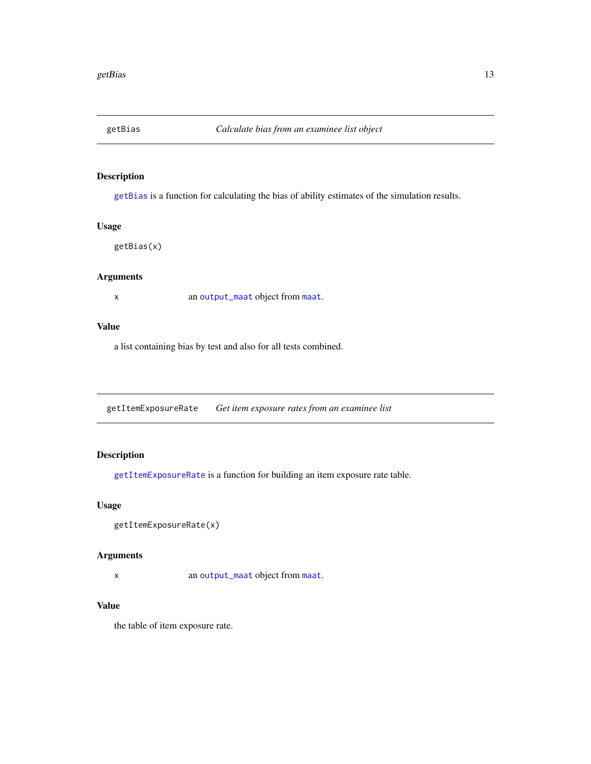<span id="page-12-1"></span><span id="page-12-0"></span>

[getBias](#page-12-1) is a function for calculating the bias of ability estimates of the simulation results.

#### Usage

getBias(x)

#### Arguments

x an [output\\_maat](#page-19-2) object from [maat](#page-16-1).

#### Value

a list containing bias by test and also for all tests combined.

<span id="page-12-2"></span>getItemExposureRate *Get item exposure rates from an examinee list*

#### Description

[getItemExposureRate](#page-12-2) is a function for building an item exposure rate table.

#### Usage

getItemExposureRate(x)

#### Arguments

x an [output\\_maat](#page-19-2) object from [maat](#page-16-1).

#### Value

the table of item exposure rate.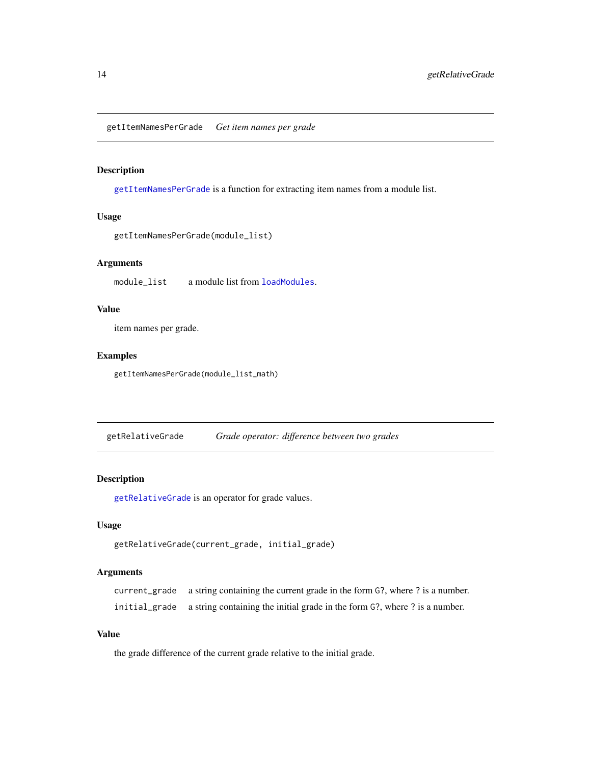<span id="page-13-1"></span><span id="page-13-0"></span>getItemNamesPerGrade *Get item names per grade*

#### Description

[getItemNamesPerGrade](#page-13-1) is a function for extracting item names from a module list.

#### Usage

```
getItemNamesPerGrade(module_list)
```
#### Arguments

module\_list a module list from [loadModules](#page-15-1).

#### Value

item names per grade.

#### Examples

getItemNamesPerGrade(module\_list\_math)

<span id="page-13-2"></span>getRelativeGrade *Grade operator: difference between two grades*

#### Description

[getRelativeGrade](#page-13-2) is an operator for grade values.

#### Usage

```
getRelativeGrade(current_grade, initial_grade)
```
#### Arguments

current\_grade a string containing the current grade in the form G?, where ? is a number. initial\_grade a string containing the initial grade in the form G?, where ? is a number.

#### Value

the grade difference of the current grade relative to the initial grade.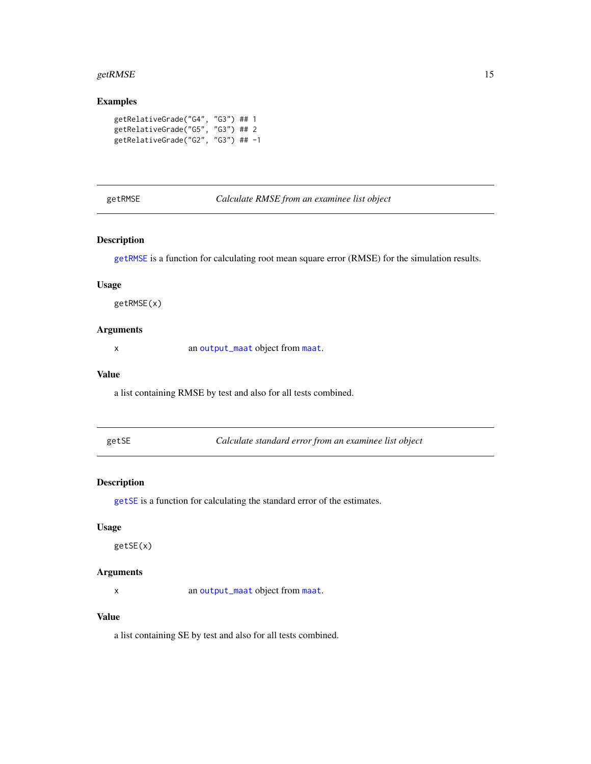#### <span id="page-14-0"></span>getRMSE and the set of the set of the set of the set of the set of the set of the set of the set of the set of the set of the set of the set of the set of the set of the set of the set of the set of the set of the set of t

#### Examples

```
getRelativeGrade("G4", "G3") ## 1
getRelativeGrade("G5", "G3") ## 2
getRelativeGrade("G2", "G3") ## -1
```
#### <span id="page-14-1"></span>getRMSE *Calculate RMSE from an examinee list object*

#### Description

[getRMSE](#page-14-1) is a function for calculating root mean square error (RMSE) for the simulation results.

#### Usage

getRMSE(x)

#### Arguments

x an [output\\_maat](#page-19-2) object from [maat](#page-16-1).

#### Value

a list containing RMSE by test and also for all tests combined.

<span id="page-14-2"></span>

Calculate standard error from an examinee list object

#### Description

[getSE](#page-14-2) is a function for calculating the standard error of the estimates.

#### Usage

getSE(x)

#### Arguments

x an [output\\_maat](#page-19-2) object from [maat](#page-16-1).

#### Value

a list containing SE by test and also for all tests combined.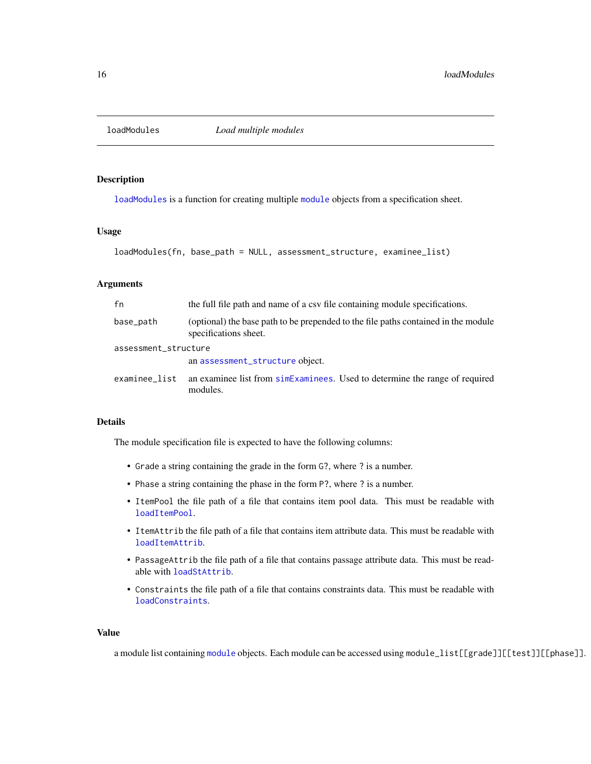<span id="page-15-1"></span><span id="page-15-0"></span>

[loadModules](#page-15-1) is a function for creating multiple [module](#page-19-1) objects from a specification sheet.

#### Usage

```
loadModules(fn, base_path = NULL, assessment_structure, examinee_list)
```
#### Arguments

| fn                   | the full file path and name of a csv file containing module specifications.                                 |
|----------------------|-------------------------------------------------------------------------------------------------------------|
| base_path            | (optional) the base path to be prepended to the file paths contained in the module<br>specifications sheet. |
| assessment_structure |                                                                                                             |
|                      | an assessment_structure object.                                                                             |
| examinee list        | an examinee list from simes an universed Used to determine the range of required<br>modules.                |

#### Details

The module specification file is expected to have the following columns:

- Grade a string containing the grade in the form G?, where ? is a number.
- Phase a string containing the phase in the form P?, where ? is a number.
- ItemPool the file path of a file that contains item pool data. This must be readable with [loadItemPool](#page-0-0).
- ItemAttrib the file path of a file that contains item attribute data. This must be readable with [loadItemAttrib](#page-0-0).
- PassageAttrib the file path of a file that contains passage attribute data. This must be readable with [loadStAttrib](#page-0-0).
- Constraints the file path of a file that contains constraints data. This must be readable with [loadConstraints](#page-0-0).

#### Value

a module list containing [module](#page-19-1) objects. Each module can be accessed using module\_list[[grade]][[test]][[phase]].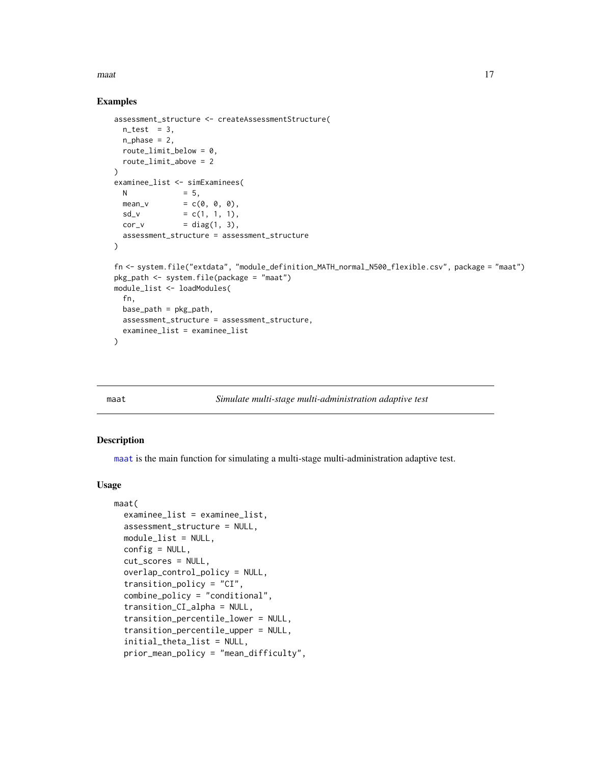<span id="page-16-0"></span> $\mu$  maat  $17$ 

#### Examples

```
assessment_structure <- createAssessmentStructure(
  n_test = 3,
  n_{\text{phase}} = 2,
  route_limit_below = 0,
  route_limit_above = 2
\lambdaexaminee_list <- simExaminees(
  N = 5,
  mean_v = c(\emptyset, \emptyset, \emptyset),
  sd_v = c(1, 1, 1),cor_v = diag(1, 3),
  assessment_structure = assessment_structure
)
fn <- system.file("extdata", "module_definition_MATH_normal_N500_flexible.csv", package = "maat")
pkg_path <- system.file(package = "maat")
module_list <- loadModules(
  fn,
  base_path = pkg_path,
  assessment_structure = assessment_structure,
  examinee_list = examinee_list
)
```
<span id="page-16-1"></span>

#### maat *Simulate multi-stage multi-administration adaptive test*

#### Description

[maat](#page-16-1) is the main function for simulating a multi-stage multi-administration adaptive test.

#### Usage

```
maat(
  examinee_list = examinee_list,
  assessment_structure = NULL,
 module_list = NULL,
  config = NULL,cut_scores = NULL,
  overlap_control_policy = NULL,
  transition_policy = "CI",
  combine_policy = "conditional",
  transition_CI_alpha = NULL,
  transition_percentile_lower = NULL,
  transition_percentile_upper = NULL,
  initial_theta_list = NULL,
  prior_mean_policy = "mean_difficulty",
```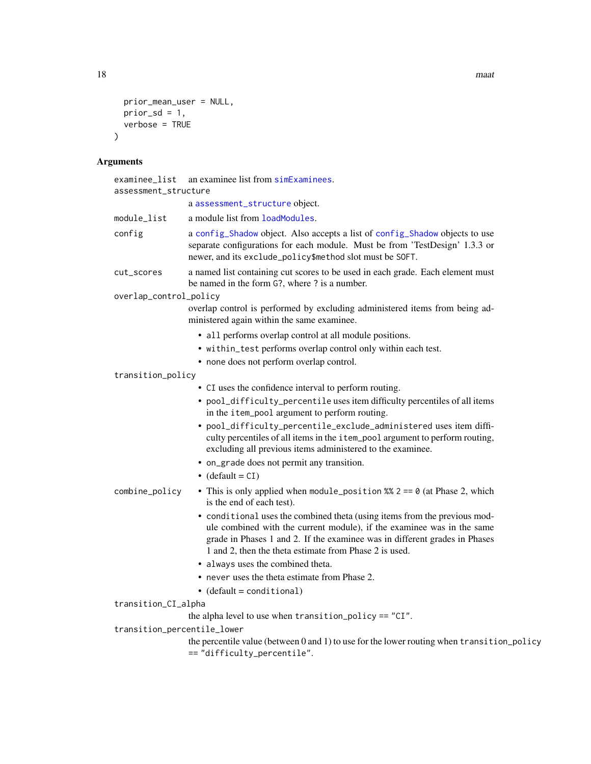18 maat was a strong with the set of the set of the set of the set of the set of the set of the set of the set of the set of the set of the set of the set of the set of the set of the set of the set of the set of the set o

```
prior_mean_user = NULL,
  prior_sd = 1,verbose = TRUE\mathcal{L}
```
#### Arguments

| examinee_list<br>assessment_structure | an examinee list from simExaminees.                                                                                                                                                                                                                                                         |
|---------------------------------------|---------------------------------------------------------------------------------------------------------------------------------------------------------------------------------------------------------------------------------------------------------------------------------------------|
|                                       | a assessment_structure object.                                                                                                                                                                                                                                                              |
| module_list                           | a module list from loadModules.                                                                                                                                                                                                                                                             |
| config                                | a config_Shadow object. Also accepts a list of config_Shadow objects to use<br>separate configurations for each module. Must be from 'TestDesign' 1.3.3 or<br>newer, and its exclude_policy\$method slot must be SOFT.                                                                      |
| cut_scores                            | a named list containing cut scores to be used in each grade. Each element must<br>be named in the form G?, where ? is a number.                                                                                                                                                             |
| overlap_control_policy                |                                                                                                                                                                                                                                                                                             |
|                                       | overlap control is performed by excluding administered items from being ad-<br>ministered again within the same examinee.                                                                                                                                                                   |
|                                       | • all performs overlap control at all module positions.                                                                                                                                                                                                                                     |
|                                       | • within_test performs overlap control only within each test.                                                                                                                                                                                                                               |
|                                       | • none does not perform overlap control.                                                                                                                                                                                                                                                    |
| transition_policy                     |                                                                                                                                                                                                                                                                                             |
|                                       | • CI uses the confidence interval to perform routing.                                                                                                                                                                                                                                       |
|                                       | • pool_difficulty_percentile uses item difficulty percentiles of all items<br>in the item_pool argument to perform routing.                                                                                                                                                                 |
|                                       | • pool_difficulty_percentile_exclude_administered uses item diffi-<br>culty percentiles of all items in the item_pool argument to perform routing,<br>excluding all previous items administered to the examinee.                                                                            |
|                                       | • on_grade does not permit any transition.                                                                                                                                                                                                                                                  |
|                                       | $\bullet$ (default = CI)                                                                                                                                                                                                                                                                    |
| combine_policy                        | • This is only applied when module_position %% $2 == 0$ (at Phase 2, which<br>is the end of each test).                                                                                                                                                                                     |
|                                       | • conditional uses the combined theta (using items from the previous mod-<br>ule combined with the current module), if the examinee was in the same<br>grade in Phases 1 and 2. If the examinee was in different grades in Phases<br>1 and 2, then the theta estimate from Phase 2 is used. |
|                                       | • always uses the combined theta.                                                                                                                                                                                                                                                           |
|                                       | • never uses the theta estimate from Phase 2.                                                                                                                                                                                                                                               |
|                                       | $\bullet$ (default = conditional)                                                                                                                                                                                                                                                           |
| transition_CI_alpha                   |                                                                                                                                                                                                                                                                                             |
|                                       | the alpha level to use when transition_policy == "CI".                                                                                                                                                                                                                                      |
| transition_percentile_lower           |                                                                                                                                                                                                                                                                                             |
|                                       | the percentile value (between 0 and 1) to use for the lower routing when transition_policy<br>== "difficulty_percentile".                                                                                                                                                                   |
|                                       |                                                                                                                                                                                                                                                                                             |

<span id="page-17-0"></span>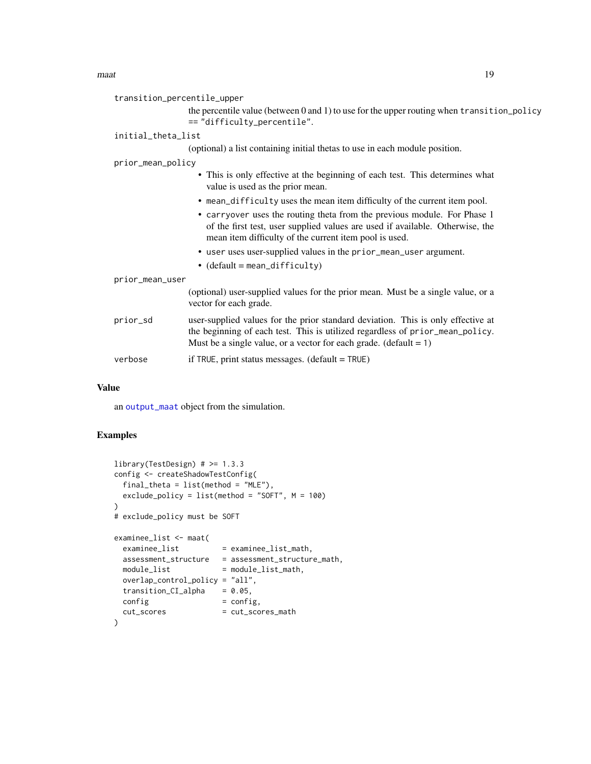<span id="page-18-0"></span>

| transition_percentile_upper                                                                                                                                                                                                                          |  |
|------------------------------------------------------------------------------------------------------------------------------------------------------------------------------------------------------------------------------------------------------|--|
| the percentile value (between 0 and 1) to use for the upper routing when transition_policy<br>== "difficulty_percentile".                                                                                                                            |  |
| initial_theta_list                                                                                                                                                                                                                                   |  |
| (optional) a list containing initial thetas to use in each module position.                                                                                                                                                                          |  |
| prior_mean_policy                                                                                                                                                                                                                                    |  |
| • This is only effective at the beginning of each test. This determines what<br>value is used as the prior mean.                                                                                                                                     |  |
| • mean_difficulty uses the mean item difficulty of the current item pool.                                                                                                                                                                            |  |
| • carryover uses the routing theta from the previous module. For Phase 1<br>of the first test, user supplied values are used if available. Otherwise, the<br>mean item difficulty of the current item pool is used.                                  |  |
| • user uses user-supplied values in the prior_mean_user argument.                                                                                                                                                                                    |  |
| • $(default = mean_difficulty)$                                                                                                                                                                                                                      |  |
| prior_mean_user                                                                                                                                                                                                                                      |  |
| (optional) user-supplied values for the prior mean. Must be a single value, or a<br>vector for each grade.                                                                                                                                           |  |
| user-supplied values for the prior standard deviation. This is only effective at<br>prior_sd<br>the beginning of each test. This is utilized regardless of prior_mean_policy.<br>Must be a single value, or a vector for each grade. $(detault = 1)$ |  |
| if TRUE, print status messages. $(detault = TRUE)$<br>verbose                                                                                                                                                                                        |  |
|                                                                                                                                                                                                                                                      |  |

#### Value

an [output\\_maat](#page-19-2) object from the simulation.

#### Examples

```
library(TestDesign) # >= 1.3.3
config <- createShadowTestConfig(
 final_theta = list(method = "MLE"),
 exclude_policy = list(method = "SOFT", M = 100)
\mathcal{L}# exclude_policy must be SOFT
examinee_list <- maat(
 examine\_list = examine\_list\_math,assessment_structure = assessment_structure_math,
  module\_list = module\_list\_math,overlap_control_policy = "all",
 transition_CI_alpha = 0.05,
 config = config,
 cut_scores = cut_scores_math
\mathcal{L}
```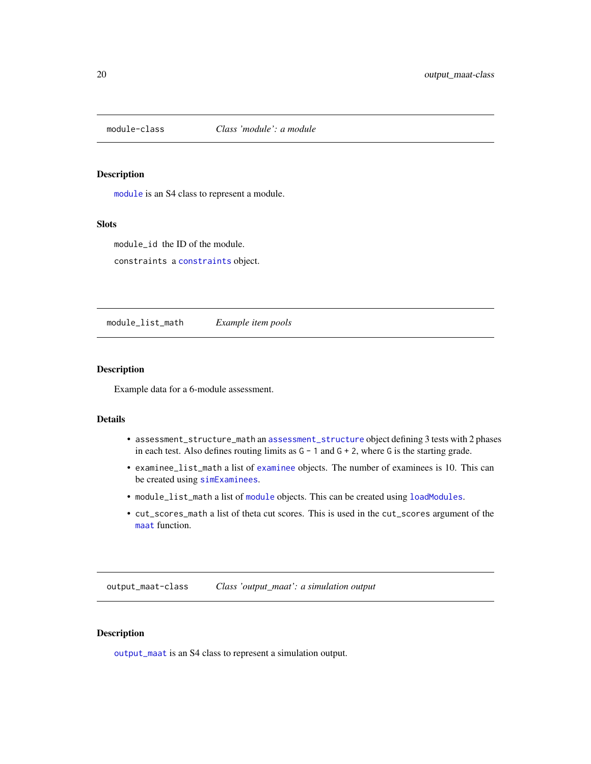<span id="page-19-1"></span><span id="page-19-0"></span>

[module](#page-19-1) is an S4 class to represent a module.

#### Slots

module\_id the ID of the module.

constraints a [constraints](#page-0-0) object.

module\_list\_math *Example item pools*

#### Description

Example data for a 6-module assessment.

#### Details

- assessment\_structure\_math an [assessment\\_structure](#page-2-1) object defining 3 tests with 2 phases in each test. Also defines routing limits as G - 1 and G + 2, where G is the starting grade.
- examinee\_list\_math a list of [examinee](#page-7-2) objects. The number of examinees is 10. This can be created using [simExaminees](#page-23-1).
- module\_list\_math a list of [module](#page-19-1) objects. This can be created using [loadModules](#page-15-1).
- cut\_scores\_math a list of theta cut scores. This is used in the cut\_scores argument of the [maat](#page-16-1) function.

<span id="page-19-2"></span>output\_maat-class *Class 'output\_maat': a simulation output*

#### Description

[output\\_maat](#page-19-2) is an S4 class to represent a simulation output.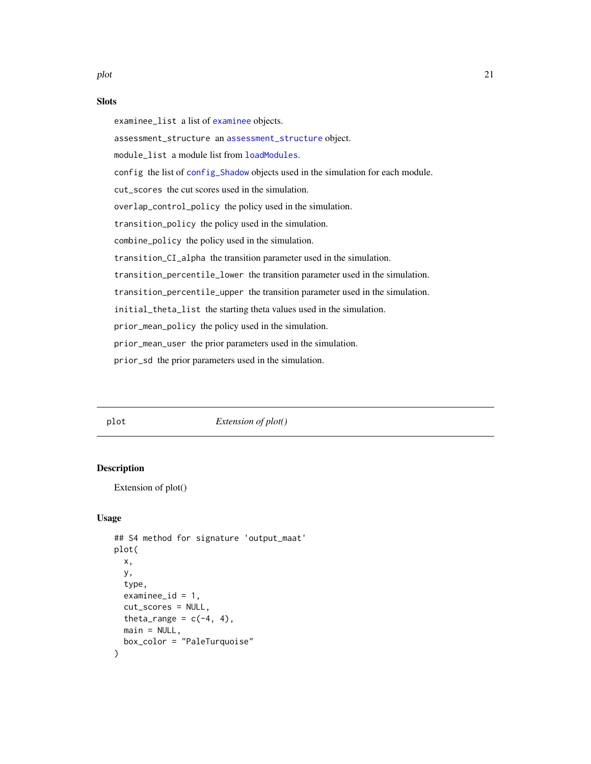#### <span id="page-20-0"></span>Slots

examinee\_list a list of [examinee](#page-7-2) objects. assessment\_structure an [assessment\\_structure](#page-2-1) object. module\_list a module list from [loadModules](#page-15-1). config the list of [config\\_Shadow](#page-0-0) objects used in the simulation for each module. cut\_scores the cut scores used in the simulation. overlap\_control\_policy the policy used in the simulation. transition\_policy the policy used in the simulation. combine\_policy the policy used in the simulation. transition\_CI\_alpha the transition parameter used in the simulation. transition\_percentile\_lower the transition parameter used in the simulation. transition\_percentile\_upper the transition parameter used in the simulation. initial\_theta\_list the starting theta values used in the simulation. prior\_mean\_policy the policy used in the simulation. prior\_mean\_user the prior parameters used in the simulation. prior\_sd the prior parameters used in the simulation.

#### plot *Extension of plot()*

#### **Description**

Extension of plot()

#### Usage

```
## S4 method for signature 'output_maat'
plot(
  x,
  y,
  type,
  examine<sub>e</sub>id = 1,
  cut_scores = NULL,
  theta_range = c(-4, 4),
 main = NULL,box_color = "PaleTurquoise"
)
```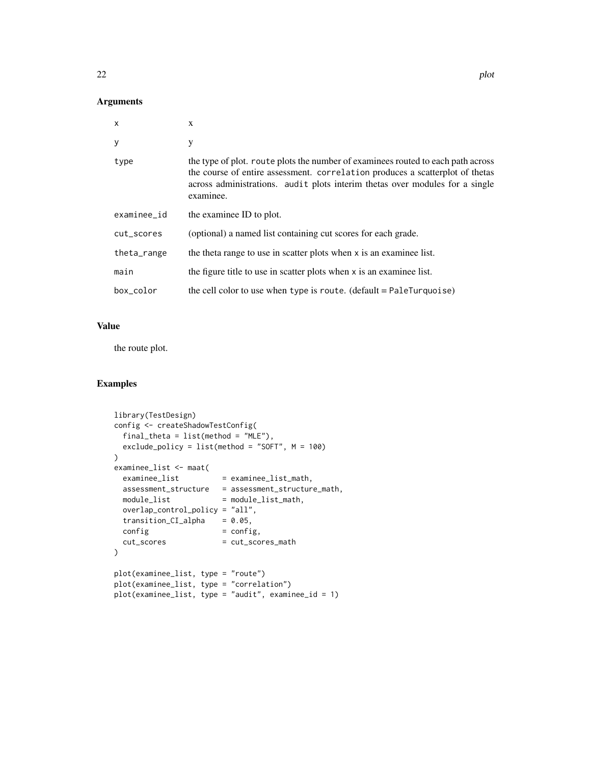#### Arguments

| $\mathsf{x}$ | X                                                                                                                                                                                                                                                              |
|--------------|----------------------------------------------------------------------------------------------------------------------------------------------------------------------------------------------------------------------------------------------------------------|
| y            | у                                                                                                                                                                                                                                                              |
| type         | the type of plot. route plots the number of examinees routed to each path across<br>the course of entire assessment. correlation produces a scatterplot of thetas<br>across administrations. audit plots interim thetas over modules for a single<br>examinee. |
| examinee_id  | the examinee ID to plot.                                                                                                                                                                                                                                       |
| cut_scores   | (optional) a named list containing cut scores for each grade.                                                                                                                                                                                                  |
| theta_range  | the theta range to use in scatter plots when x is an examinee list.                                                                                                                                                                                            |
| main         | the figure title to use in scatter plots when x is an examinee list.                                                                                                                                                                                           |
| box_color    | the cell color to use when type is route. (default = PaleTurquoise)                                                                                                                                                                                            |

#### Value

the route plot.

#### Examples

```
library(TestDesign)
config <- createShadowTestConfig(
 final_{\text{theta}} = list(method = "MLE"),exclude_policy = list(method = "SOFT", M = 100)
\mathcal{L}examinee_list <- maat(
 examine\_list = examine\_list\_math,assessment_structure = assessment_structure_math,
 module\_list = module\_list\_math,overlap_control_policy = "all",
 transition_C I_{alpha} = 0.05,
 config = config,
 cut_scores = cut_scores_math
\mathcal{L}plot(examinee_list, type = "route")
plot(examinee_list, type = "correlation")
plot(examinee_list, type = "audit", examinee_id = 1)
```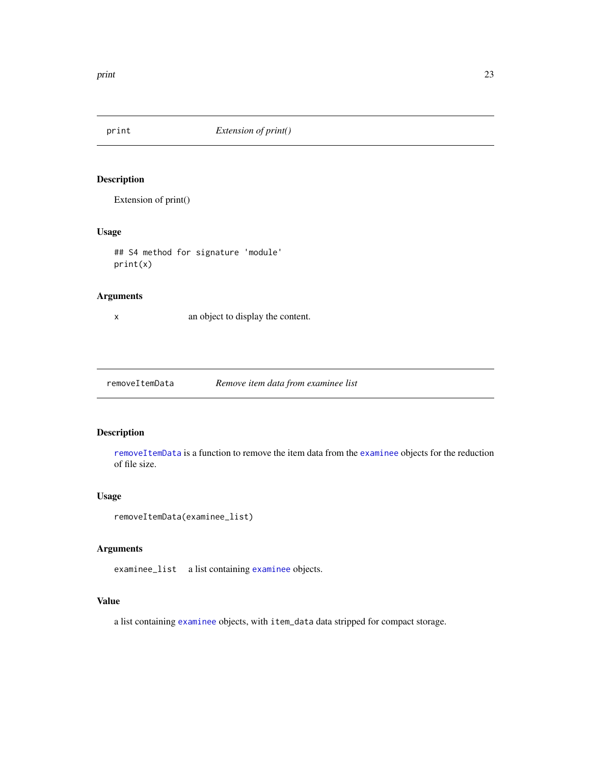<span id="page-22-0"></span>

Extension of print()

#### Usage

## S4 method for signature 'module' print(x)

#### Arguments

x an object to display the content.

<span id="page-22-1"></span>removeItemData *Remove item data from examinee list*

#### Description

[removeItemData](#page-22-1) is a function to remove the item data from the [examinee](#page-7-2) objects for the reduction of file size.

#### Usage

```
removeItemData(examinee_list)
```
#### Arguments

examinee\_list a list containing [examinee](#page-7-2) objects.

#### Value

a list containing [examinee](#page-7-2) objects, with item\_data data stripped for compact storage.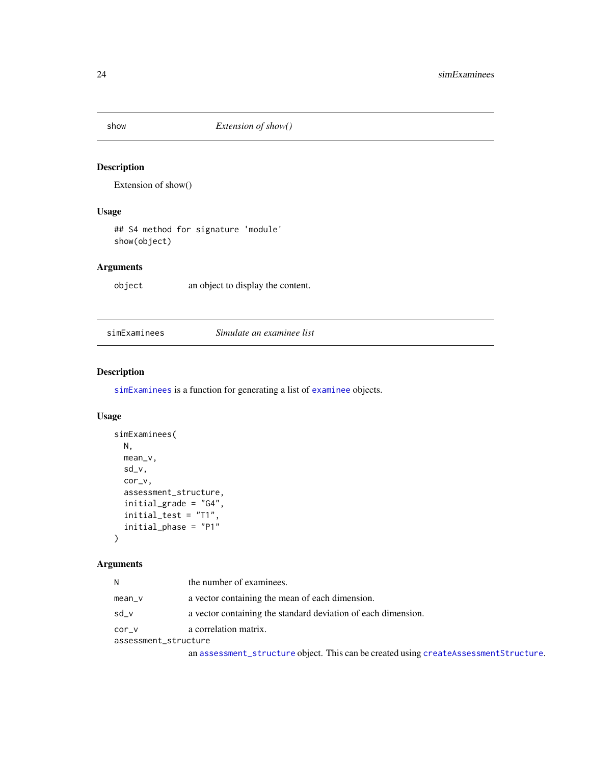<span id="page-23-0"></span>

Extension of show()

#### Usage

## S4 method for signature 'module' show(object)

#### Arguments

object an object to display the content.

<span id="page-23-1"></span>simExaminees *Simulate an examinee list*

#### Description

[simExaminees](#page-23-1) is a function for generating a list of [examinee](#page-7-2) objects.

#### Usage

```
simExaminees(
 N,
 mean_v,
  sd_v,
  cor_v,
  assessment_structure,
  initial_grade = "G4",
  initial_test = "T1",
  initial_phase = "P1"
)
```
#### Arguments

| N                             | the number of examinees.                                      |
|-------------------------------|---------------------------------------------------------------|
| $mean_v$                      | a vector containing the mean of each dimension.               |
| sd v                          | a vector containing the standard deviation of each dimension. |
| cor v<br>assessment_structure | a correlation matrix.                                         |

an [assessment\\_structure](#page-2-1) object. This can be created using [createAssessmentStructure](#page-6-1).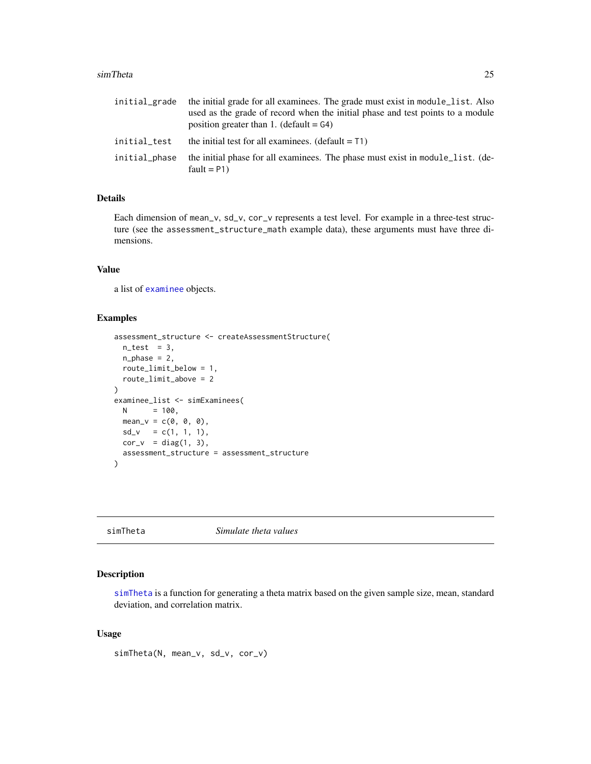#### <span id="page-24-0"></span>simTheta 25

| initial_grade | the initial grade for all examinees. The grade must exist in module_list. Also<br>used as the grade of record when the initial phase and test points to a module<br>position greater than 1. (default $= G4$ ) |
|---------------|----------------------------------------------------------------------------------------------------------------------------------------------------------------------------------------------------------------|
| initial_test  | the initial test for all examinees. $(default = T1)$                                                                                                                                                           |
| initial_phase | the initial phase for all examinees. The phase must exist in module_list. (de-<br>fault = $P1$ )                                                                                                               |

#### Details

Each dimension of mean\_v, sd\_v, cor\_v represents a test level. For example in a three-test structure (see the assessment\_structure\_math example data), these arguments must have three dimensions.

#### Value

a list of [examinee](#page-7-2) objects.

#### Examples

```
assessment_structure <- createAssessmentStructure(
 n_{\text{test}} = 3,
  n_{phase} = 2,
  route_limit_below = 1,
  route_limit_above = 2
\lambdaexaminee_list <- simExaminees(
 N = 100,mean_v = c(0, 0, 0),
 sd_v = c(1, 1, 1),cor_v = diag(1, 3),assessment_structure = assessment_structure
)
```
<span id="page-24-1"></span>simTheta *Simulate theta values*

#### Description

[simTheta](#page-24-1) is a function for generating a theta matrix based on the given sample size, mean, standard deviation, and correlation matrix.

#### Usage

simTheta(N, mean\_v, sd\_v, cor\_v)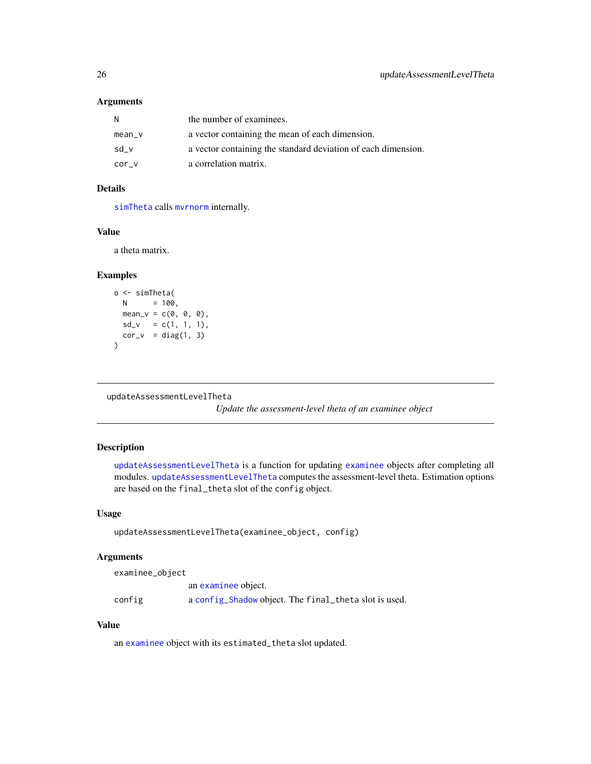#### <span id="page-25-0"></span>Arguments

| N      | the number of examinees.                                      |
|--------|---------------------------------------------------------------|
| mean_v | a vector containing the mean of each dimension.               |
| sd v   | a vector containing the standard deviation of each dimension. |
| cor v  | a correlation matrix.                                         |

#### Details

[simTheta](#page-24-1) calls [mvrnorm](#page-0-0) internally.

#### Value

a theta matrix.

#### Examples

```
o <- simTheta(
 N = 100,
 mean_v = c(0, 0, 0),
 sd_v = c(1, 1, 1),cor_v = diag(1, 3)\overline{\phantom{a}}
```

```
updateAssessmentLevelTheta
```
*Update the assessment-level theta of an examinee object*

#### Description

[updateAssessmentLevelTheta](#page-25-1) is a function for updating [examinee](#page-7-2) objects after completing all modules. [updateAssessmentLevelTheta](#page-25-1) computes the assessment-level theta. Estimation options are based on the final\_theta slot of the config object.

#### Usage

```
updateAssessmentLevelTheta(examinee_object, config)
```
#### Arguments

examinee\_object

an [examinee](#page-7-2) object. config a [config\\_Shadow](#page-0-0) object. The final\_theta slot is used.

#### Value

an [examinee](#page-7-2) object with its estimated\_theta slot updated.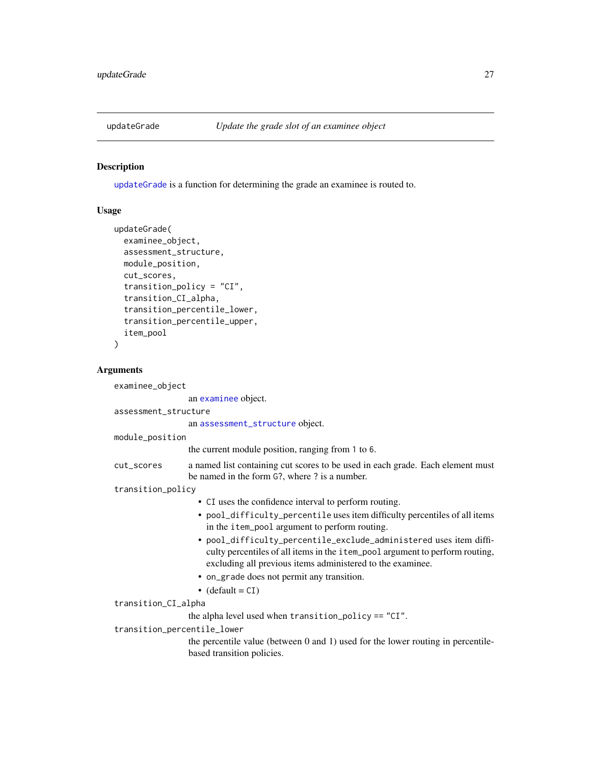<span id="page-26-1"></span><span id="page-26-0"></span>

[updateGrade](#page-26-1) is a function for determining the grade an examinee is routed to.

#### Usage

```
updateGrade(
  examinee_object,
  assessment_structure,
 module_position,
  cut_scores,
  transition_policy = "CI",
  transition_CI_alpha,
  transition_percentile_lower,
  transition_percentile_upper,
  item_pool
)
```
#### Arguments

examinee\_object

an [examinee](#page-7-2) object. assessment\_structure an [assessment\\_structure](#page-2-1) object. module\_position the current module position, ranging from 1 to 6. cut\_scores a named list containing cut scores to be used in each grade. Each element must be named in the form G?, where ? is a number. transition\_policy • CI uses the confidence interval to perform routing. • pool\_difficulty\_percentile uses item difficulty percentiles of all items in the item\_pool argument to perform routing. • pool\_difficulty\_percentile\_exclude\_administered uses item difficulty percentiles of all items in the item\_pool argument to perform routing, excluding all previous items administered to the examinee. • on\_grade does not permit any transition.  $\bullet$  (default = CI) transition\_CI\_alpha the alpha level used when transition\_policy == "CI". transition\_percentile\_lower the percentile value (between 0 and 1) used for the lower routing in percentilebased transition policies.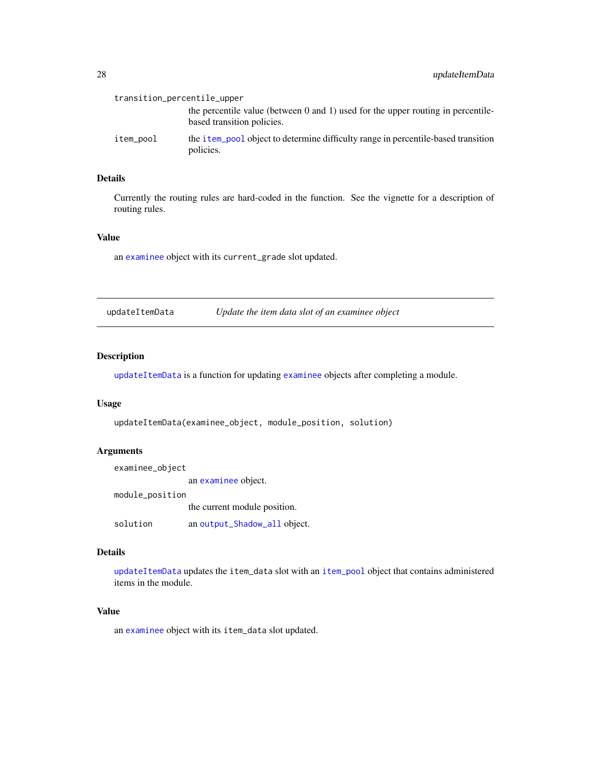<span id="page-27-0"></span>

| transition_percentile_upper |                                                                                                                     |
|-----------------------------|---------------------------------------------------------------------------------------------------------------------|
|                             | the percentile value (between $0$ and $1$ ) used for the upper routing in percentile-<br>based transition policies. |
| item_pool                   | the <i>i</i> tem pool object to determine difficulty range in percentile-based transition<br>policies.              |

#### Details

Currently the routing rules are hard-coded in the function. See the vignette for a description of routing rules.

#### Value

an [examinee](#page-7-2) object with its current\_grade slot updated.

<span id="page-27-1"></span>

| updateItemData | Update the item data slot of an examinee object |
|----------------|-------------------------------------------------|
|                |                                                 |

#### Description

[updateItemData](#page-27-1) is a function for updating [examinee](#page-7-2) objects after completing a module.

#### Usage

```
updateItemData(examinee_object, module_position, solution)
```
#### Arguments

examinee\_object an [examinee](#page-7-2) object. module\_position the current module position. solution an [output\\_Shadow\\_all](#page-0-0) object.

#### Details

[updateItemData](#page-27-1) updates the item\_data slot with an [item\\_pool](#page-0-0) object that contains administered items in the module.

#### Value

an [examinee](#page-7-2) object with its item\_data slot updated.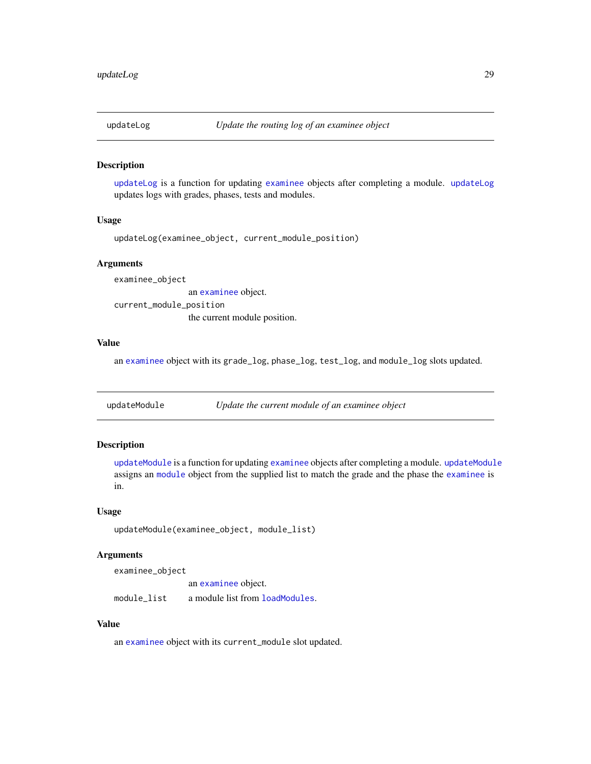<span id="page-28-2"></span><span id="page-28-0"></span>

[updateLog](#page-28-2) is a function for updating [examinee](#page-7-2) objects after completing a module. [updateLog](#page-28-2) updates logs with grades, phases, tests and modules.

#### Usage

```
updateLog(examinee_object, current_module_position)
```
#### Arguments

examinee\_object an [examinee](#page-7-2) object.

current\_module\_position the current module position.

#### Value

an [examinee](#page-7-2) object with its grade\_log, phase\_log, test\_log, and module\_log slots updated.

<span id="page-28-1"></span>updateModule *Update the current module of an examinee object*

#### Description

[updateModule](#page-28-1) is a function for updating [examinee](#page-7-2) objects after completing a module. [updateModule](#page-28-1) assigns an [module](#page-19-1) object from the supplied list to match the grade and the phase the [examinee](#page-7-2) is in.

#### Usage

```
updateModule(examinee_object, module_list)
```
#### Arguments

examinee\_object

an [examinee](#page-7-2) object. module\_list a module list from [loadModules](#page-15-1).

#### Value

an [examinee](#page-7-2) object with its current\_module slot updated.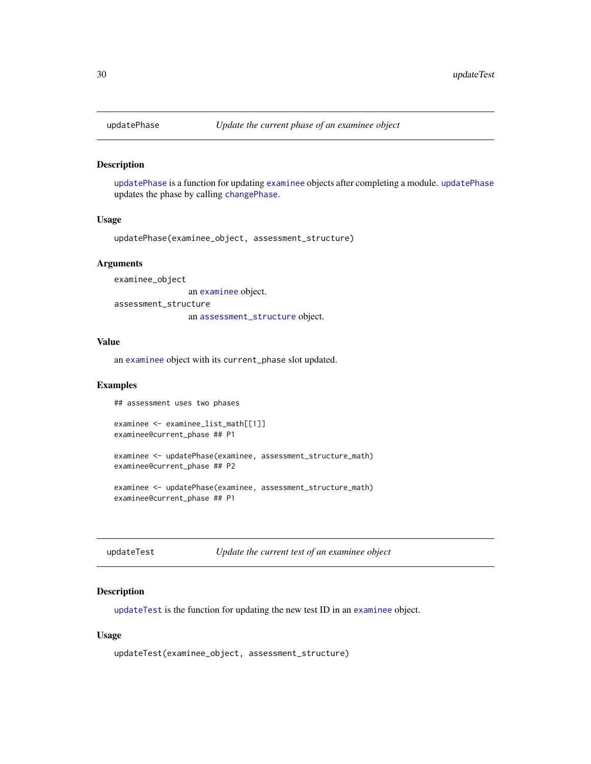<span id="page-29-1"></span><span id="page-29-0"></span>

[updatePhase](#page-29-1) is a function for updating [examinee](#page-7-2) objects after completing a module. [updatePhase](#page-29-1) updates the phase by calling [changePhase](#page-5-1).

#### Usage

```
updatePhase(examinee_object, assessment_structure)
```
#### **Arguments**

examinee\_object an [examinee](#page-7-2) object. assessment\_structure an [assessment\\_structure](#page-2-1) object.

#### Value

an [examinee](#page-7-2) object with its current\_phase slot updated.

#### Examples

## assessment uses two phases

```
examinee <- examinee_list_math[[1]]
examinee@current_phase ## P1
```
examinee <- updatePhase(examinee, assessment\_structure\_math) examinee@current\_phase ## P2

examinee <- updatePhase(examinee, assessment\_structure\_math) examinee@current\_phase ## P1

<span id="page-29-2"></span>updateTest *Update the current test of an examinee object*

#### Description

[updateTest](#page-29-2) is the function for updating the new test ID in an [examinee](#page-7-2) object.

#### Usage

```
updateTest(examinee_object, assessment_structure)
```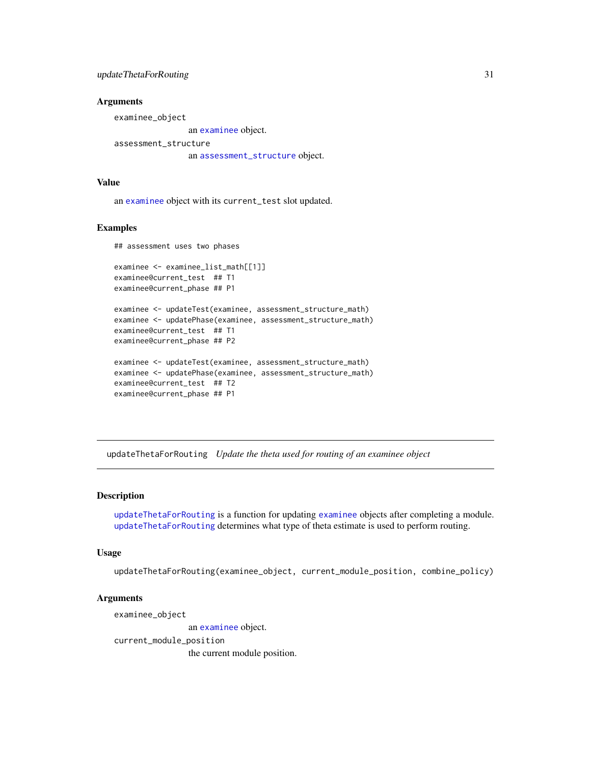#### <span id="page-30-0"></span>updateThetaForRouting 31

#### Arguments

examinee\_object

an [examinee](#page-7-2) object.

assessment\_structure an [assessment\\_structure](#page-2-1) object.

#### Value

an [examinee](#page-7-2) object with its current\_test slot updated.

#### Examples

## assessment uses two phases

```
examinee <- examinee_list_math[[1]]
examinee@current_test ## T1
examinee@current_phase ## P1
examinee <- updateTest(examinee, assessment_structure_math)
examinee <- updatePhase(examinee, assessment_structure_math)
examinee@current_test ## T1
examinee@current_phase ## P2
examinee <- updateTest(examinee, assessment_structure_math)
examinee <- updatePhase(examinee, assessment_structure_math)
examinee@current_test ## T2
examinee@current_phase ## P1
```
<span id="page-30-1"></span>updateThetaForRouting *Update the theta used for routing of an examinee object*

#### Description

[updateThetaForRouting](#page-30-1) is a function for updating [examinee](#page-7-2) objects after completing a module. [updateThetaForRouting](#page-30-1) determines what type of theta estimate is used to perform routing.

#### Usage

updateThetaForRouting(examinee\_object, current\_module\_position, combine\_policy)

#### Arguments

examinee\_object an [examinee](#page-7-2) object.

current\_module\_position

the current module position.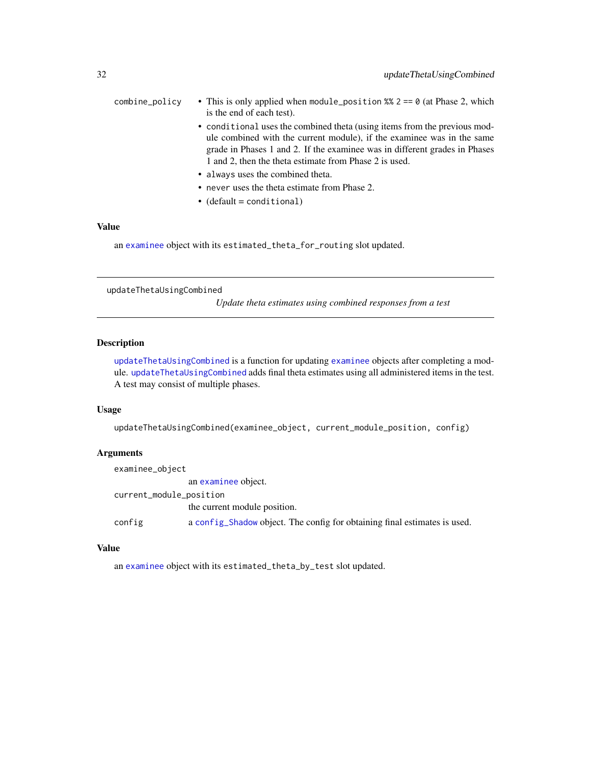<span id="page-31-0"></span>

| combine_policy | • This is only applied when module_position $\frac{8}{8}$ 2 = = 0 (at Phase 2, which |
|----------------|--------------------------------------------------------------------------------------|
|                | is the end of each test).                                                            |
|                | • conditional uses the combined theta (using items from the previous mod-            |
|                | ule combined with the current module), if the examinee was in the same               |
|                | grade in Phases 1 and 2. If the examinee was in different grades in Phases           |
|                | 1 and 2, then the theta estimate from Phase 2 is used.                               |
|                | • always uses the combined theta.                                                    |

- never uses the theta estimate from Phase 2.
- (default = conditional)

#### Value

an [examinee](#page-7-2) object with its estimated\_theta\_for\_routing slot updated.

<span id="page-31-1"></span>updateThetaUsingCombined

*Update theta estimates using combined responses from a test*

#### Description

[updateThetaUsingCombined](#page-31-1) is a function for updating [examinee](#page-7-2) objects after completing a module. [updateThetaUsingCombined](#page-31-1) adds final theta estimates using all administered items in the test. A test may consist of multiple phases.

#### Usage

updateThetaUsingCombined(examinee\_object, current\_module\_position, config)

#### Arguments

| examinee_object         |                                                                           |
|-------------------------|---------------------------------------------------------------------------|
|                         | an examinee object.                                                       |
| current_module_position |                                                                           |
|                         | the current module position.                                              |
| config                  | a config_Shadow object. The config for obtaining final estimates is used. |

#### Value

an [examinee](#page-7-2) object with its estimated\_theta\_by\_test slot updated.